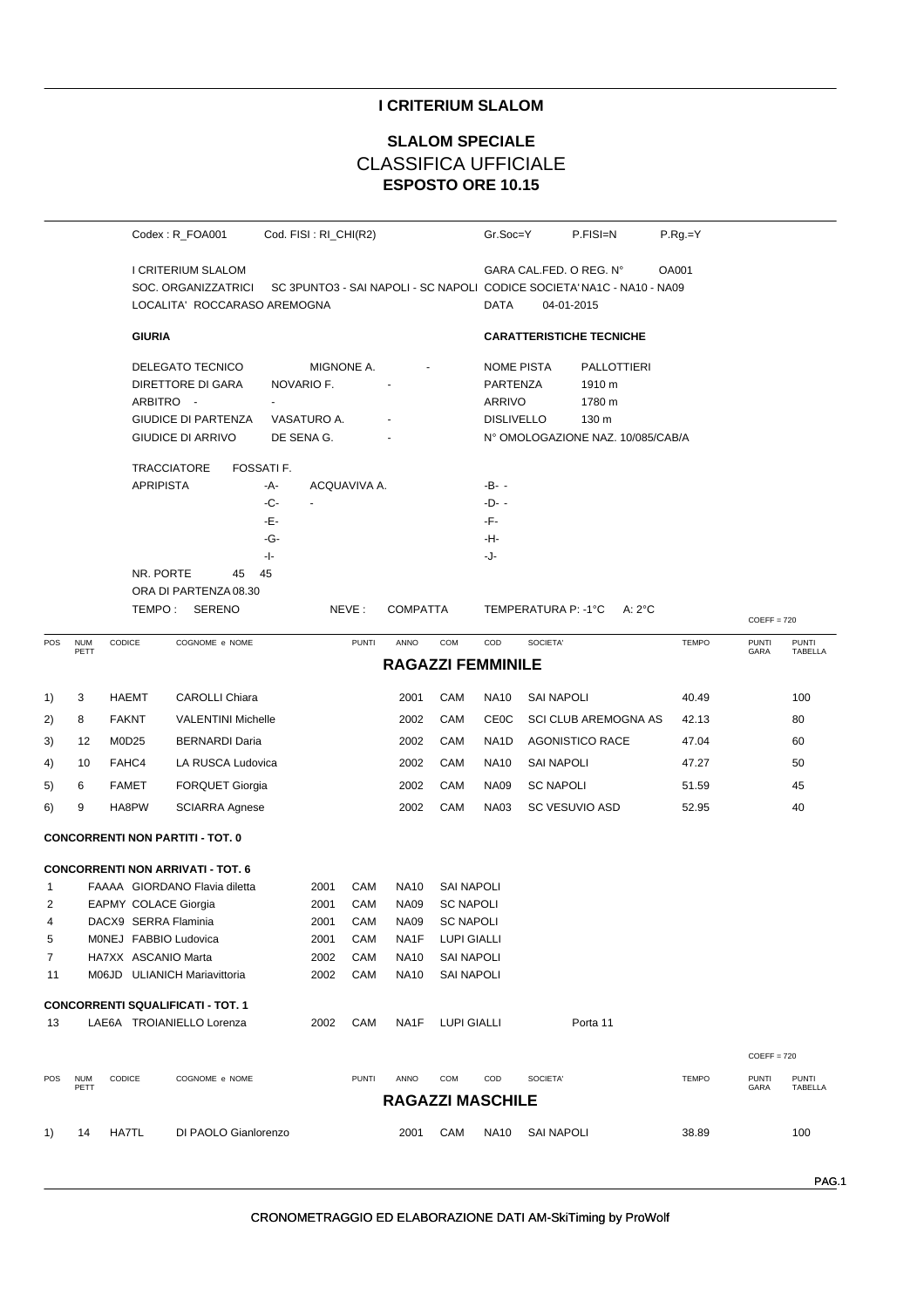## **I CRITERIUM SLALOM**

# **ESPOSTO ORE 10.15 SLALOM SPECIALE** CLASSIFICA UFFICIALE

|                   |                    |                       | Codex: R_FOA001                                                                                       |                                 | Cod. FISI: RI_CHI(R2)                                 |              |                            |                                       | Gr.Soc=Y                                                     | P.FISI=N                                                                                                                 | $P.Rg = Y$   |                      |                         |
|-------------------|--------------------|-----------------------|-------------------------------------------------------------------------------------------------------|---------------------------------|-------------------------------------------------------|--------------|----------------------------|---------------------------------------|--------------------------------------------------------------|--------------------------------------------------------------------------------------------------------------------------|--------------|----------------------|-------------------------|
|                   |                    |                       | I CRITERIUM SLALOM<br>SOC. ORGANIZZATRICI<br>LOCALITA' ROCCARASO AREMOGNA                             |                                 |                                                       |              |                            |                                       | DATA                                                         | GARA CAL.FED. O REG. N°<br>OA001<br>SC 3PUNTO3 - SAI NAPOLI - SC NAPOLI CODICE SOCIETA' NA1C - NA10 - NA09<br>04-01-2015 |              |                      |                         |
|                   |                    | <b>GIURIA</b>         |                                                                                                       |                                 |                                                       |              |                            |                                       |                                                              | <b>CARATTERISTICHE TECNICHE</b>                                                                                          |              |                      |                         |
|                   |                    |                       | DELEGATO TECNICO<br>DIRETTORE DI GARA<br>ARBITRO -<br><b>GIUDICE DI PARTENZA</b><br>GIUDICE DI ARRIVO |                                 | MIGNONE A.<br>NOVARIO F.<br>VASATURO A.<br>DE SENA G. |              |                            |                                       | <b>NOME PISTA</b><br>PARTENZA<br>ARRIVO<br><b>DISLIVELLO</b> | <b>PALLOTTIERI</b><br>1910 m<br>1780 m<br>130 m<br>N° OMOLOGAZIONE NAZ. 10/085/CAB/A                                     |              |                      |                         |
|                   |                    |                       | <b>TRACCIATORE</b>                                                                                    | FOSSATI F.                      |                                                       |              |                            |                                       |                                                              |                                                                                                                          |              |                      |                         |
|                   |                    | <b>APRIPISTA</b>      |                                                                                                       | -A-<br>-C-<br>-Е-<br>-G-<br>- - | $\blacksquare$                                        | ACQUAVIVA A. |                            |                                       | -B- -<br>-D- -<br>-F-<br>-H-<br>-J-                          |                                                                                                                          |              |                      |                         |
|                   |                    | NR. PORTE             | 45                                                                                                    | 45                              |                                                       |              |                            |                                       |                                                              |                                                                                                                          |              |                      |                         |
|                   |                    |                       | ORA DI PARTENZA 08.30                                                                                 |                                 |                                                       |              |                            |                                       |                                                              |                                                                                                                          |              |                      |                         |
|                   |                    |                       | TEMPO: SERENO                                                                                         |                                 |                                                       | NEVE:        | <b>COMPATTA</b>            |                                       |                                                              | TEMPERATURA P: -1°C<br>$A:2^{\circ}C$                                                                                    |              | $COEFF = 720$        |                         |
| POS               | <b>NUM</b><br>PETT | CODICE                | COGNOME e NOME                                                                                        |                                 |                                                       | <b>PUNTI</b> | ANNO                       | COM                                   | COD                                                          | SOCIETA'                                                                                                                 | <b>TEMPO</b> | <b>PUNTI</b><br>GARA | <b>PUNTI</b><br>TABELLA |
|                   |                    |                       |                                                                                                       |                                 |                                                       |              | <b>RAGAZZI FEMMINILE</b>   |                                       |                                                              |                                                                                                                          |              |                      |                         |
| 1)                | 3                  | <b>HAEMT</b>          | <b>CAROLLI Chiara</b>                                                                                 |                                 |                                                       |              | 2001                       | CAM                                   | <b>NA10</b>                                                  | <b>SAI NAPOLI</b>                                                                                                        | 40.49        |                      | 100                     |
| 2)                | 8                  | <b>FAKNT</b>          | <b>VALENTINI Michelle</b>                                                                             |                                 |                                                       |              | 2002                       | CAM                                   | CEOC                                                         | SCI CLUB AREMOGNA AS                                                                                                     | 42.13        |                      | 80                      |
| 3)                | 12                 | M0D25                 | <b>BERNARDI Daria</b>                                                                                 |                                 |                                                       |              | 2002                       | <b>CAM</b>                            | NA <sub>1</sub> D                                            | <b>AGONISTICO RACE</b>                                                                                                   | 47.04        |                      | 60                      |
| 4)                | 10                 | FAHC4                 | LA RUSCA Ludovica                                                                                     |                                 |                                                       |              | 2002                       | CAM                                   | <b>NA10</b>                                                  | <b>SAI NAPOLI</b>                                                                                                        | 47.27        |                      | 50                      |
| 5)                | 6                  | <b>FAMET</b>          | <b>FORQUET Giorgia</b>                                                                                |                                 |                                                       |              | 2002                       | CAM                                   | <b>NA09</b>                                                  | <b>SC NAPOLI</b>                                                                                                         | 51.59        |                      | 45                      |
| 6)                | 9                  | HA8PW                 | <b>SCIARRA Agnese</b>                                                                                 |                                 |                                                       |              | 2002                       | CAM                                   | <b>NA03</b>                                                  | SC VESUVIO ASD                                                                                                           | 52.95        |                      | 40                      |
|                   |                    |                       | <b>CONCORRENTI NON PARTITI - TOT. 0</b>                                                               |                                 |                                                       |              |                            |                                       |                                                              |                                                                                                                          |              |                      |                         |
|                   |                    |                       |                                                                                                       |                                 |                                                       |              |                            |                                       |                                                              |                                                                                                                          |              |                      |                         |
|                   |                    |                       | <b>CONCORRENTI NON ARRIVATI - TOT. 6</b><br>FAAAA GIORDANO Flavia diletta                             |                                 |                                                       |              |                            |                                       |                                                              |                                                                                                                          |              |                      |                         |
| $\mathbf{1}$<br>2 |                    | EAPMY COLACE Giorgia  |                                                                                                       |                                 | 2001<br>2001                                          | CAM<br>CAM   | <b>NA10</b><br><b>NA09</b> | <b>SAI NAPOLI</b><br><b>SC NAPOLI</b> |                                                              |                                                                                                                          |              |                      |                         |
| 4                 |                    | DACX9 SERRA Flaminia  |                                                                                                       |                                 | 2001                                                  | CAM          | NA09                       | <b>SC NAPOLI</b>                      |                                                              |                                                                                                                          |              |                      |                         |
| 5                 |                    | MONEJ FABBIO Ludovica |                                                                                                       |                                 | 2001                                                  | CAM          | NA1F                       | LUPI GIALLI                           |                                                              |                                                                                                                          |              |                      |                         |
| 7                 |                    | HA7XX ASCANIO Marta   |                                                                                                       |                                 | 2002                                                  | CAM          | <b>NA10</b>                | <b>SAI NAPOLI</b>                     |                                                              |                                                                                                                          |              |                      |                         |
| 11                |                    |                       | M06JD ULIANICH Mariavittoria                                                                          |                                 | 2002                                                  | CAM          | <b>NA10</b>                | <b>SAI NAPOLI</b>                     |                                                              |                                                                                                                          |              |                      |                         |
|                   |                    |                       | <b>CONCORRENTI SQUALIFICATI - TOT. 1</b>                                                              |                                 |                                                       |              |                            |                                       |                                                              |                                                                                                                          |              |                      |                         |
| 13                |                    |                       | LAE6A TROIANIELLO Lorenza                                                                             |                                 | 2002                                                  | CAM          | NA <sub>1</sub> F          | LUPI GIALLI                           |                                                              | Porta 11                                                                                                                 |              |                      |                         |
|                   |                    |                       |                                                                                                       |                                 |                                                       |              |                            |                                       |                                                              |                                                                                                                          |              |                      |                         |
|                   |                    |                       |                                                                                                       |                                 |                                                       |              |                            |                                       |                                                              |                                                                                                                          |              | $COEFF = 720$        |                         |
| POS               | <b>NUM</b><br>PETT | CODICE                | COGNOME e NOME                                                                                        |                                 |                                                       | <b>PUNTI</b> | ANNO                       | COM                                   | COD                                                          | SOCIETA'                                                                                                                 | <b>TEMPO</b> | <b>PUNTI</b><br>GARA | <b>PUNTI</b><br>TABELLA |
|                   |                    |                       |                                                                                                       |                                 |                                                       |              | <b>RAGAZZI MASCHILE</b>    |                                       |                                                              |                                                                                                                          |              |                      |                         |
| 1)                | 14                 | HA7TL                 | DI PAOLO Gianlorenzo                                                                                  |                                 |                                                       |              | 2001                       | CAM                                   | NA10                                                         | <b>SAI NAPOLI</b>                                                                                                        | 38.89        |                      | 100                     |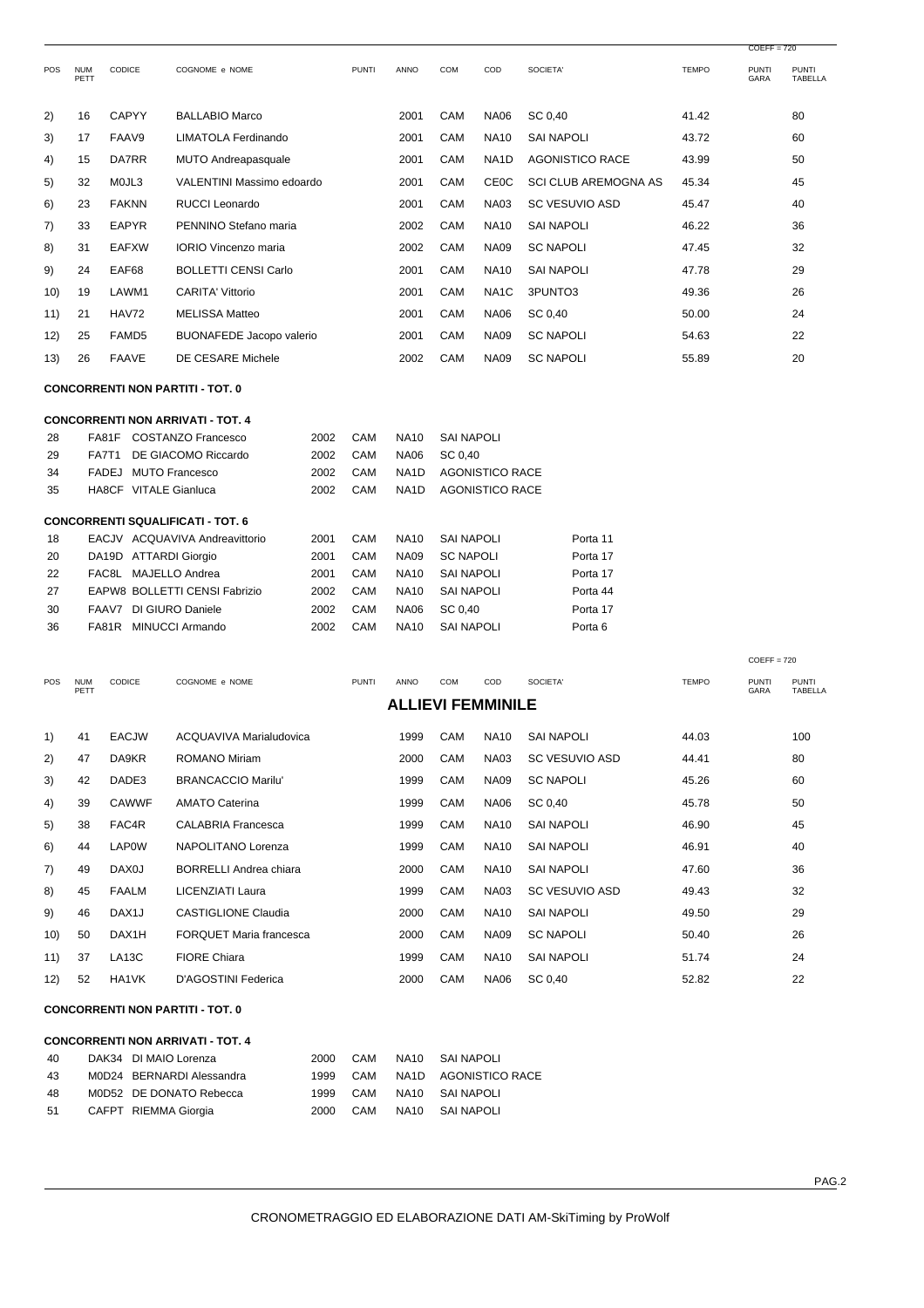| <b>POS</b> | <b>NUM</b><br>PETT | <b>CODICE</b>     | COGNOME e NOME                  | <b>PUNTI</b> | <b>ANNO</b> | <b>COM</b> | COD               | SOCIETA'                    | <b>TEMPO</b> | <b>PUNTI</b><br>GARA | <b>PUNTI</b><br>TABELLA |
|------------|--------------------|-------------------|---------------------------------|--------------|-------------|------------|-------------------|-----------------------------|--------------|----------------------|-------------------------|
| 2)         | 16                 | <b>CAPYY</b>      | <b>BALLABIO Marco</b>           |              | 2001        | CAM        | <b>NA06</b>       | SC 0,40                     | 41.42        |                      | 80                      |
| 3)         | 17                 | FAAV9             | LIMATOLA Ferdinando             |              | 2001        | <b>CAM</b> | <b>NA10</b>       | <b>SAI NAPOLI</b>           | 43.72        |                      | 60                      |
| 4)         | 15                 | DA7RR             | <b>MUTO Andreapasquale</b>      |              | 2001        | CAM        | NA1D              | <b>AGONISTICO RACE</b>      | 43.99        |                      | 50                      |
| 5)         | 32                 | MOJL3             | VALENTINI Massimo edoardo       |              | 2001        | CAM        | <b>CEOC</b>       | <b>SCI CLUB AREMOGNA AS</b> | 45.34        |                      | 45                      |
| 6)         | 23                 | <b>FAKNN</b>      | <b>RUCCI Leonardo</b>           |              | 2001        | <b>CAM</b> | <b>NA03</b>       | <b>SC VESUVIO ASD</b>       | 45.47        |                      | 40                      |
| 7)         | 33                 | <b>EAPYR</b>      | PENNINO Stefano maria           |              | 2002        | CAM        | <b>NA10</b>       | <b>SAI NAPOLI</b>           | 46.22        |                      | 36                      |
| 8)         | 31                 | <b>EAFXW</b>      | <b>IORIO Vincenzo maria</b>     |              | 2002        | CAM        | <b>NA09</b>       | <b>SC NAPOLI</b>            | 47.45        |                      | 32                      |
| 9)         | 24                 | EAF68             | <b>BOLLETTI CENSI Carlo</b>     |              | 2001        | CAM        | <b>NA10</b>       | SAI NAPOLI                  | 47.78        |                      | 29                      |
| 10)        | 19                 | LAWM1             | <b>CARITA' Vittorio</b>         |              | 2001        | <b>CAM</b> | NA <sub>1</sub> C | 3PUNTO3                     | 49.36        |                      | 26                      |
| 11)        | 21                 | HAV72             | <b>MELISSA Matteo</b>           |              | 2001        | CAM        | <b>NA06</b>       | SC 0.40                     | 50.00        |                      | 24                      |
| 12)        | 25                 | FAMD <sub>5</sub> | <b>BUONAFEDE Jacopo valerio</b> |              | 2001        | CAM        | <b>NA09</b>       | <b>SC NAPOLI</b>            | 54.63        |                      | 22                      |
| 13)        | 26                 | <b>FAAVE</b>      | DE CESARE Michele               |              | 2002        | CAM        | <b>NA09</b>       | <b>SC NAPOLI</b>            | 55.89        |                      | 20                      |

#### **CONCORRENTI NON PARTITI - TOT. 0**

## **CONCORRENTI NON ARRIVATI - TOT. 4**

| FA81F | <b>COSTANZO Francesco</b> | 2002                                                                                                                                                                 | CAM | <b>NA10</b>       | <b>SAI NAPOLI</b> |          |
|-------|---------------------------|----------------------------------------------------------------------------------------------------------------------------------------------------------------------|-----|-------------------|-------------------|----------|
| FA7T1 | DE GIACOMO Riccardo       | 2002                                                                                                                                                                 | CAM | <b>NA06</b>       | SC 0.40           |          |
| FADEJ | MUTO Francesco            | 2002                                                                                                                                                                 | CAM | NA <sub>1</sub> D | AGONISTICO RACE   |          |
|       |                           | 2002                                                                                                                                                                 | CAM | NA <sub>1</sub> D | AGONISTICO RACE   |          |
|       |                           |                                                                                                                                                                      |     |                   |                   |          |
|       |                           |                                                                                                                                                                      |     |                   |                   |          |
|       |                           | 2001                                                                                                                                                                 | CAM | <b>NA10</b>       | <b>SAI NAPOLI</b> | Porta 11 |
|       |                           | 2001                                                                                                                                                                 | CAM | <b>NA09</b>       | <b>SC NAPOLI</b>  | Porta 17 |
| FAC8L | MAJELLO Andrea            | 2001                                                                                                                                                                 | CAM | <b>NA10</b>       | <b>SAI NAPOLI</b> | Porta 17 |
|       |                           | 2002                                                                                                                                                                 | CAM | <b>NA10</b>       | <b>SAI NAPOLI</b> | Porta 44 |
| FAAV7 | DI GIURO Daniele          | 2002                                                                                                                                                                 | CAM | <b>NA06</b>       | SC 0.40           | Porta 17 |
| FA81R | MINUCCI Armando           | 2002                                                                                                                                                                 | CAM | <b>NA10</b>       | SAI NAPOLI        | Porta 6  |
|       |                           | <b>HA8CF VITALE Gianluca</b><br><b>CONCORRENTI SQUALIFICATI - TOT. 6</b><br>EACJV ACQUAVIVA Andreavittorio<br>DA19D ATTARDI Giorgio<br>EAPW8 BOLLETTI CENSI Fabrizio |     |                   |                   |          |

| <b>POS</b> | NUM<br>PETT              | <b>CODICE</b>      | COGNOME e NOME                 | <b>PUNTI</b> | ANNO | COM | COD         | SOCIETA'              | TEMPO | <b>PUNTI</b><br>GARA | PUNTI<br>TABELLA |  |  |  |
|------------|--------------------------|--------------------|--------------------------------|--------------|------|-----|-------------|-----------------------|-------|----------------------|------------------|--|--|--|
|            | <b>ALLIEVI FEMMINILE</b> |                    |                                |              |      |     |             |                       |       |                      |                  |  |  |  |
| 1)         | 41                       | <b>EACJW</b>       | ACQUAVIVA Marialudovica        |              | 1999 | CAM | <b>NA10</b> | <b>SAI NAPOLI</b>     | 44.03 |                      | 100              |  |  |  |
| 2)         | 47                       | DA9KR              | <b>ROMANO Miriam</b>           |              | 2000 | CAM | <b>NA03</b> | <b>SC VESUVIO ASD</b> | 44.41 |                      | 80               |  |  |  |
| 3)         | 42                       | DADE3              | <b>BRANCACCIO Marilu'</b>      |              | 1999 | CAM | <b>NA09</b> | <b>SC NAPOLI</b>      | 45.26 |                      | 60               |  |  |  |
| 4)         | 39                       | <b>CAWWF</b>       | <b>AMATO Caterina</b>          |              | 1999 | CAM | <b>NA06</b> | SC 0,40               | 45.78 |                      | 50               |  |  |  |
| 5)         | 38                       | FAC4R              | <b>CALABRIA Francesca</b>      |              | 1999 | CAM | <b>NA10</b> | <b>SAI NAPOLI</b>     | 46.90 |                      | 45               |  |  |  |
| 6)         | 44                       | <b>LAP0W</b>       | NAPOLITANO Lorenza             |              | 1999 | CAM | <b>NA10</b> | <b>SAI NAPOLI</b>     | 46.91 |                      | 40               |  |  |  |
| 7)         | 49                       | DAX0J              | <b>BORRELLI Andrea chiara</b>  |              | 2000 | CAM | <b>NA10</b> | <b>SAI NAPOLI</b>     | 47.60 |                      | 36               |  |  |  |
| 8)         | 45                       | FAALM              | LICENZIATI Laura               |              | 1999 | CAM | <b>NA03</b> | <b>SC VESUVIO ASD</b> | 49.43 |                      | 32               |  |  |  |
| 9)         | 46                       | DAX <sub>1</sub> J | <b>CASTIGLIONE Claudia</b>     |              | 2000 | CAM | <b>NA10</b> | <b>SAI NAPOLI</b>     | 49.50 |                      | 29               |  |  |  |
| 10)        | 50                       | DAX1H              | <b>FORQUET Maria francesca</b> |              | 2000 | CAM | <b>NA09</b> | <b>SC NAPOLI</b>      | 50.40 |                      | 26               |  |  |  |
| 11)        | 37                       | LA <sub>13</sub> C | <b>FIORE Chiara</b>            |              | 1999 | CAM | <b>NA10</b> | <b>SAI NAPOLI</b>     | 51.74 |                      | 24               |  |  |  |
| 12)        | 52                       | HA1VK              | D'AGOSTINI Federica            |              | 2000 | CAM | <b>NA06</b> | SC 0,40               | 52.82 |                      | 22               |  |  |  |

**CONCORRENTI NON PARTITI - TOT. 0** 

#### **CONCORRENTI NON ARRIVATI - TOT. 4**

| 40  | DAK34 DI MAIO Lorenza     | 2000 | CAM | NA10 SAI NAPOLI      |
|-----|---------------------------|------|-----|----------------------|
| -43 | M0D24 BERNARDI Alessandra | 1999 | CAM | NA1D AGONISTICO RACE |
| 48  | M0D52 DE DONATO Rebecca   | 1999 | CAM | NA10 SAI NAPOLI      |
| -51 | CAFPT RIEMMA Giorgia      | 2000 | CAM | NA10 SAI NAPOLI      |

 $COEFF = 720$ 

 $COEFF = 720$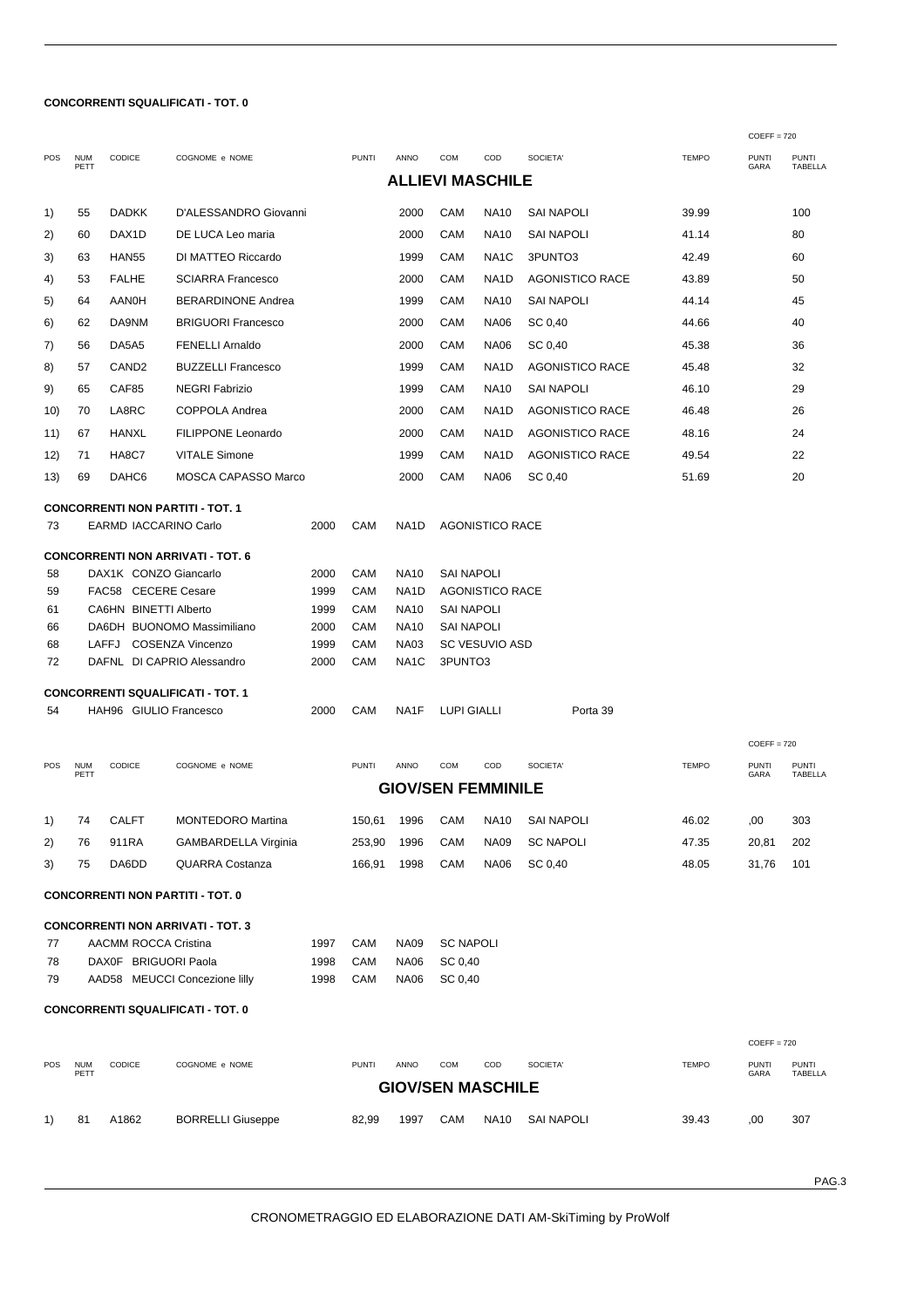## **CONCORRENTI SQUALIFICATI - TOT. 0**

|          |                    |                        |                                                |              |              |                            |                    |                           |                        |              | $COEFF = 720$        |                         |
|----------|--------------------|------------------------|------------------------------------------------|--------------|--------------|----------------------------|--------------------|---------------------------|------------------------|--------------|----------------------|-------------------------|
| POS      | <b>NUM</b><br>PETT | CODICE                 | COGNOME e NOME                                 |              | <b>PUNTI</b> | ANNO                       | <b>COM</b>         | COD                       | SOCIETA'               | <b>TEMPO</b> | <b>PUNTI</b><br>GARA | <b>PUNTI</b><br>TABELLA |
|          |                    |                        |                                                |              |              |                            |                    | <b>ALLIEVI MASCHILE</b>   |                        |              |                      |                         |
| 1)       | 55                 | <b>DADKK</b>           | D'ALESSANDRO Giovanni                          |              |              | 2000                       | CAM                | <b>NA10</b>               | SAI NAPOLI             | 39.99        |                      | 100                     |
| 2)       | 60                 | DAX <sub>1</sub> D     | DE LUCA Leo maria                              |              |              | 2000                       | CAM                | <b>NA10</b>               | SAI NAPOLI             | 41.14        |                      | 80                      |
| 3)       | 63                 | HAN <sub>55</sub>      | DI MATTEO Riccardo                             |              |              | 1999                       | CAM                | NA <sub>1</sub> C         | 3PUNTO3                | 42.49        |                      | 60                      |
| 4)       | 53                 | <b>FALHE</b>           | <b>SCIARRA Francesco</b>                       |              |              | 2000                       | CAM                | NA1D                      | <b>AGONISTICO RACE</b> | 43.89        |                      | 50                      |
| 5)       | 64                 | AANOH                  | <b>BERARDINONE Andrea</b>                      |              |              | 1999                       | CAM                | <b>NA10</b>               | SAI NAPOLI             | 44.14        |                      | 45                      |
| 6)       | 62                 | DA9NM                  | <b>BRIGUORI Francesco</b>                      |              |              | 2000                       | CAM                | <b>NA06</b>               | SC 0,40                | 44.66        |                      | 40                      |
| 7)       | 56                 | DA5A5                  | <b>FENELLI Arnaldo</b>                         |              |              | 2000                       | CAM                | <b>NA06</b>               | SC 0,40                | 45.38        |                      | 36                      |
| 8)       | 57                 | CAND <sub>2</sub>      | <b>BUZZELLI Francesco</b>                      |              |              | 1999                       | CAM                | NA1D                      | AGONISTICO RACE        | 45.48        |                      | 32                      |
| 9)       | 65                 | CAF85                  | <b>NEGRI Fabrizio</b>                          |              |              | 1999                       | CAM                | <b>NA10</b>               | SAI NAPOLI             | 46.10        |                      | 29                      |
| 10)      | 70                 | LA8RC                  | COPPOLA Andrea                                 |              |              | 2000                       | CAM                | NA1D                      | <b>AGONISTICO RACE</b> | 46.48        |                      | 26                      |
| 11)      | 67                 | HANXL                  | <b>FILIPPONE Leonardo</b>                      |              |              | 2000                       | CAM                | NA1D                      | AGONISTICO RACE        | 48.16        |                      | 24                      |
| 12)      | 71                 | HA8C7                  | <b>VITALE Simone</b>                           |              |              | 1999                       | CAM                | NA1D                      | AGONISTICO RACE        | 49.54        |                      | 22                      |
| 13)      | 69                 | DAHC6                  | <b>MOSCA CAPASSO Marco</b>                     |              |              | 2000                       | CAM                | <b>NA06</b>               | SC 0,40                | 51.69        |                      | 20                      |
|          |                    |                        |                                                |              |              |                            |                    |                           |                        |              |                      |                         |
|          |                    |                        | <b>CONCORRENTI NON PARTITI - TOT. 1</b>        |              |              |                            |                    |                           |                        |              |                      |                         |
| 73       |                    | EARMD IACCARINO Carlo  |                                                | 2000         | CAM          | NA1D                       |                    | <b>AGONISTICO RACE</b>    |                        |              |                      |                         |
|          |                    |                        | <b>CONCORRENTI NON ARRIVATI - TOT. 6</b>       |              |              |                            |                    |                           |                        |              |                      |                         |
| 58       |                    | DAX1K CONZO Giancarlo  |                                                | 2000         | CAM          | <b>NA10</b>                | SAI NAPOLI         |                           |                        |              |                      |                         |
| 59       |                    | FAC58 CECERE Cesare    |                                                | 1999         | CAM          | NA1D                       |                    | AGONISTICO RACE           |                        |              |                      |                         |
| 61       |                    | CA6HN BINETTI Alberto  |                                                | 1999         | CAM          | <b>NA10</b>                | SAI NAPOLI         |                           |                        |              |                      |                         |
| 66<br>68 |                    | LAFFJ                  | DA6DH BUONOMO Massimiliano<br>COSENZA Vincenzo | 2000<br>1999 | CAM<br>CAM   | <b>NA10</b><br><b>NA03</b> | SAI NAPOLI         | SC VESUVIO ASD            |                        |              |                      |                         |
| 72       |                    |                        | DAFNL DI CAPRIO Alessandro                     | 2000         | CAM          | NA <sub>1</sub> C          | 3PUNTO3            |                           |                        |              |                      |                         |
|          |                    |                        |                                                |              |              |                            |                    |                           |                        |              |                      |                         |
| 54       |                    | HAH96 GIULIO Francesco | <b>CONCORRENTI SQUALIFICATI - TOT. 1</b>       | 2000         | CAM          | NA1F                       | <b>LUPI GIALLI</b> |                           | Porta 39               |              |                      |                         |
|          |                    |                        |                                                |              |              |                            |                    |                           |                        |              |                      |                         |
|          |                    |                        |                                                |              |              |                            |                    |                           |                        |              | $COEFF = 720$        |                         |
| POS      | <b>NUM</b><br>PETT | CODICE                 | COGNOME e NOME                                 |              | <b>PUNTI</b> | ANNO                       | COM                | COD                       | SOCIETA'               | <b>TEMPO</b> | <b>PUNTI</b><br>GARA | <b>PUNTI</b><br>TABELLA |
|          |                    |                        |                                                |              |              |                            |                    | <b>GIOV/SEN FEMMINILE</b> |                        |              |                      |                         |
| 1)       | 74                 | <b>CALFT</b>           | <b>MONTEDORO Martina</b>                       |              | 150,61       | 1996                       | CAM                | NA10                      | SAI NAPOLI             | 46.02        | ,00                  | 303                     |
| 2)       | 76                 | 911RA                  | GAMBARDELLA Virginia                           |              | 253,90       | 1996                       | CAM                | <b>NA09</b>               | <b>SC NAPOLI</b>       | 47.35        | 20,81                | 202                     |
| 3)       | 75                 | DA6DD                  | QUARRA Costanza                                |              | 166,91       | 1998                       | CAM                | <b>NA06</b>               | SC 0,40                | 48.05        | 31,76                | 101                     |
|          |                    |                        |                                                |              |              |                            |                    |                           |                        |              |                      |                         |
|          |                    |                        | <b>CONCORRENTI NON PARTITI - TOT. 0</b>        |              |              |                            |                    |                           |                        |              |                      |                         |
|          |                    |                        | <b>CONCORRENTI NON ARRIVATI - TOT. 3</b>       |              |              |                            |                    |                           |                        |              |                      |                         |
| 77       |                    | AACMM ROCCA Cristina   |                                                | 1997         | CAM          | <b>NA09</b>                | <b>SC NAPOLI</b>   |                           |                        |              |                      |                         |
| 78       |                    | DAX0F BRIGUORI Paola   |                                                | 1998         | CAM          | <b>NA06</b>                | SC 0,40            |                           |                        |              |                      |                         |
| 79       |                    |                        | AAD58 MEUCCI Concezione lilly                  | 1998         | CAM          | <b>NA06</b>                | SC 0,40            |                           |                        |              |                      |                         |
|          |                    |                        | <b>CONCORRENTI SQUALIFICATI - TOT. 0</b>       |              |              |                            |                    |                           |                        |              |                      |                         |
|          |                    |                        |                                                |              |              |                            |                    |                           |                        |              | $COEFF = 720$        |                         |
| POS      | <b>NUM</b>         | CODICE                 | COGNOME e NOME                                 |              | <b>PUNTI</b> | ANNO                       | COM                | COD                       | SOCIETA'               | <b>TEMPO</b> | <b>PUNTI</b>         | <b>PUNTI</b>            |
|          | PETT               |                        |                                                |              |              |                            |                    | <b>GIOV/SEN MASCHILE</b>  |                        |              | GARA                 | TABELLA                 |
|          |                    |                        |                                                |              |              |                            |                    |                           |                        |              |                      |                         |
| 1)       | 81                 | A1862                  | <b>BORRELLI Giuseppe</b>                       |              | 82,99        | 1997                       | CAM                | <b>NA10</b>               | <b>SAI NAPOLI</b>      | 39.43        | ,00                  | 307                     |